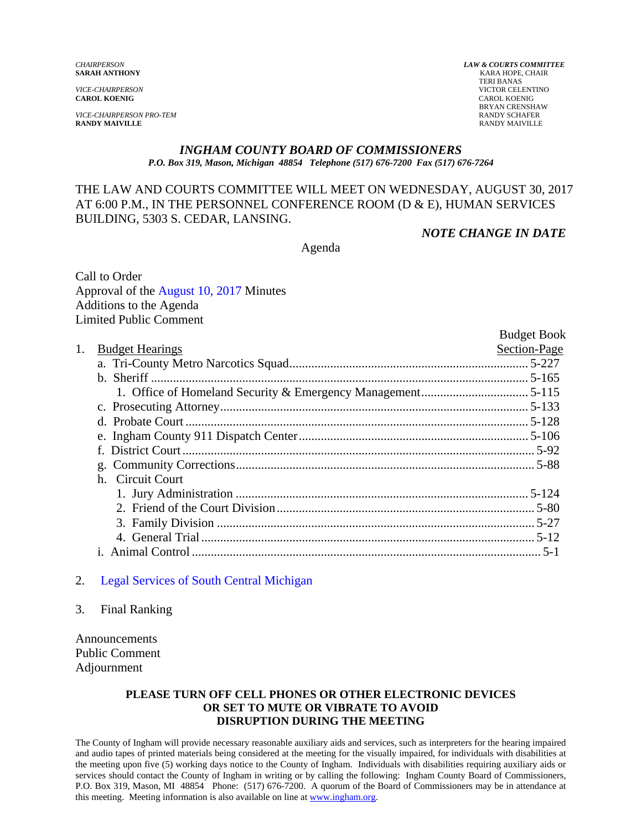*VICE-CHAIRPERSON PRO-TEM* RANDY SCHAFER

#### *INGHAM COUNTY BOARD OF COMMISSIONERS P.O. Box 319, Mason, Michigan 48854 Telephone (517) 676-7200 Fax (517) 676-7264*

## THE LAW AND COURTS COMMITTEE WILL MEET ON WEDNESDAY, AUGUST 30, 2017 AT 6:00 P.M., IN THE PERSONNEL CONFERENCE ROOM (D & E), HUMAN SERVICES BUILDING, 5303 S. CEDAR, LANSING.

#### *NOTE CHANGE IN DATE*

Agenda

Call to Order Approval of t[he August 10, 2017 Minutes](#page-1-0)  Additions to the Agenda Limited Public Comment

|                        | <b>Budget Book</b> |
|------------------------|--------------------|
| <b>Budget Hearings</b> | Section-Page       |
|                        |                    |
|                        |                    |
|                        |                    |
|                        |                    |
|                        |                    |
|                        |                    |
|                        |                    |
|                        |                    |
| h. Circuit Court       |                    |
|                        |                    |
|                        |                    |
|                        |                    |
|                        |                    |
|                        |                    |
|                        |                    |

#### 2. Legal Services of [South Central Michigan](#page-11-0)

3. Final Ranking

Announcements Public Comment Adjournment

#### **PLEASE TURN OFF CELL PHONES OR OTHER ELECTRONIC DEVICES OR SET TO MUTE OR VIBRATE TO AVOID DISRUPTION DURING THE MEETING**

The County of Ingham will provide necessary reasonable auxiliary aids and services, such as interpreters for the hearing impaired and audio tapes of printed materials being considered at the meeting for the visually impaired, for individuals with disabilities at the meeting upon five (5) working days notice to the County of Ingham. Individuals with disabilities requiring auxiliary aids or services should contact the County of Ingham in writing or by calling the following: Ingham County Board of Commissioners, P.O. Box 319, Mason, MI 48854 Phone: (517) 676-7200. A quorum of the Board of Commissioners may be in attendance at this meeting. Meeting information is also available on line at www.ingham.org.

*CHAIRPERSON LAW & COURTS COMMITTEE* **KARA HOPE, CHAIR**  TERI BANAS *VICE-CHAIRPERSON* VICTOR CELENTINO **CAROL KOENIG** CAROL KOENIG BRYAN CRENSHAW **RANDY MAIVILLE** RANDY MAIVILLE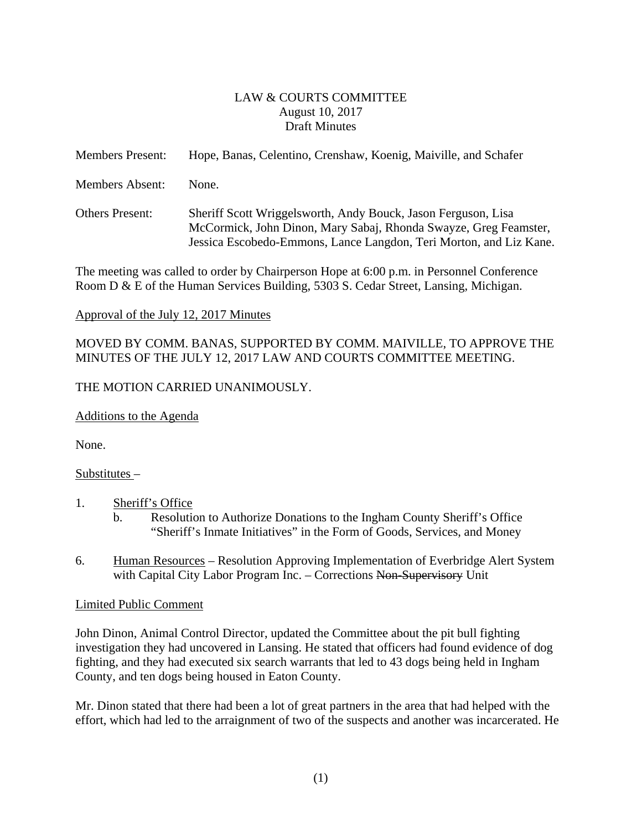## LAW & COURTS COMMITTEE August 10, 2017 Draft Minutes

<span id="page-1-0"></span>

| <b>Members Present:</b> | Hope, Banas, Celentino, Crenshaw, Koenig, Maiville, and Schafer                                                                                                                                         |
|-------------------------|---------------------------------------------------------------------------------------------------------------------------------------------------------------------------------------------------------|
| <b>Members Absent:</b>  | None.                                                                                                                                                                                                   |
| <b>Others Present:</b>  | Sheriff Scott Wriggelsworth, Andy Bouck, Jason Ferguson, Lisa<br>McCormick, John Dinon, Mary Sabaj, Rhonda Swayze, Greg Feamster,<br>Jessica Escobedo-Emmons, Lance Langdon, Teri Morton, and Liz Kane. |

The meeting was called to order by Chairperson Hope at 6:00 p.m. in Personnel Conference Room D & E of the Human Services Building, 5303 S. Cedar Street, Lansing, Michigan.

## Approval of the July 12, 2017 Minutes

# MOVED BY COMM. BANAS, SUPPORTED BY COMM. MAIVILLE, TO APPROVE THE MINUTES OF THE JULY 12, 2017 LAW AND COURTS COMMITTEE MEETING.

## THE MOTION CARRIED UNANIMOUSLY.

Additions to the Agenda

None.

Substitutes –

- 1. Sheriff's Office
	- b. Resolution to Authorize Donations to the Ingham County Sheriff's Office "Sheriff's Inmate Initiatives" in the Form of Goods, Services, and Money
- 6. Human Resources Resolution Approving Implementation of Everbridge Alert System with Capital City Labor Program Inc. – Corrections Non-Supervisory Unit

## Limited Public Comment

John Dinon, Animal Control Director, updated the Committee about the pit bull fighting investigation they had uncovered in Lansing. He stated that officers had found evidence of dog fighting, and they had executed six search warrants that led to 43 dogs being held in Ingham County, and ten dogs being housed in Eaton County.

Mr. Dinon stated that there had been a lot of great partners in the area that had helped with the effort, which had led to the arraignment of two of the suspects and another was incarcerated. He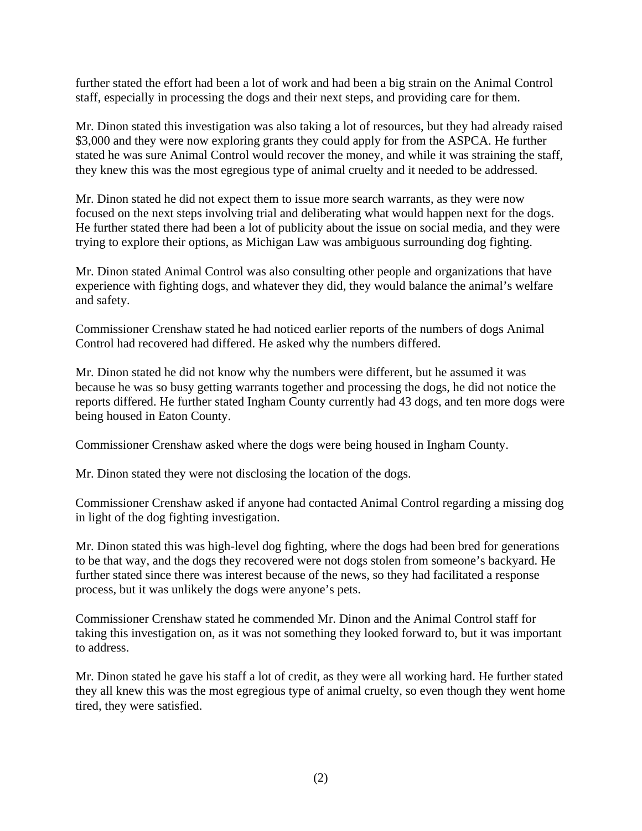further stated the effort had been a lot of work and had been a big strain on the Animal Control staff, especially in processing the dogs and their next steps, and providing care for them.

Mr. Dinon stated this investigation was also taking a lot of resources, but they had already raised \$3,000 and they were now exploring grants they could apply for from the ASPCA. He further stated he was sure Animal Control would recover the money, and while it was straining the staff, they knew this was the most egregious type of animal cruelty and it needed to be addressed.

Mr. Dinon stated he did not expect them to issue more search warrants, as they were now focused on the next steps involving trial and deliberating what would happen next for the dogs. He further stated there had been a lot of publicity about the issue on social media, and they were trying to explore their options, as Michigan Law was ambiguous surrounding dog fighting.

Mr. Dinon stated Animal Control was also consulting other people and organizations that have experience with fighting dogs, and whatever they did, they would balance the animal's welfare and safety.

Commissioner Crenshaw stated he had noticed earlier reports of the numbers of dogs Animal Control had recovered had differed. He asked why the numbers differed.

Mr. Dinon stated he did not know why the numbers were different, but he assumed it was because he was so busy getting warrants together and processing the dogs, he did not notice the reports differed. He further stated Ingham County currently had 43 dogs, and ten more dogs were being housed in Eaton County.

Commissioner Crenshaw asked where the dogs were being housed in Ingham County.

Mr. Dinon stated they were not disclosing the location of the dogs.

Commissioner Crenshaw asked if anyone had contacted Animal Control regarding a missing dog in light of the dog fighting investigation.

Mr. Dinon stated this was high-level dog fighting, where the dogs had been bred for generations to be that way, and the dogs they recovered were not dogs stolen from someone's backyard. He further stated since there was interest because of the news, so they had facilitated a response process, but it was unlikely the dogs were anyone's pets.

Commissioner Crenshaw stated he commended Mr. Dinon and the Animal Control staff for taking this investigation on, as it was not something they looked forward to, but it was important to address.

Mr. Dinon stated he gave his staff a lot of credit, as they were all working hard. He further stated they all knew this was the most egregious type of animal cruelty, so even though they went home tired, they were satisfied.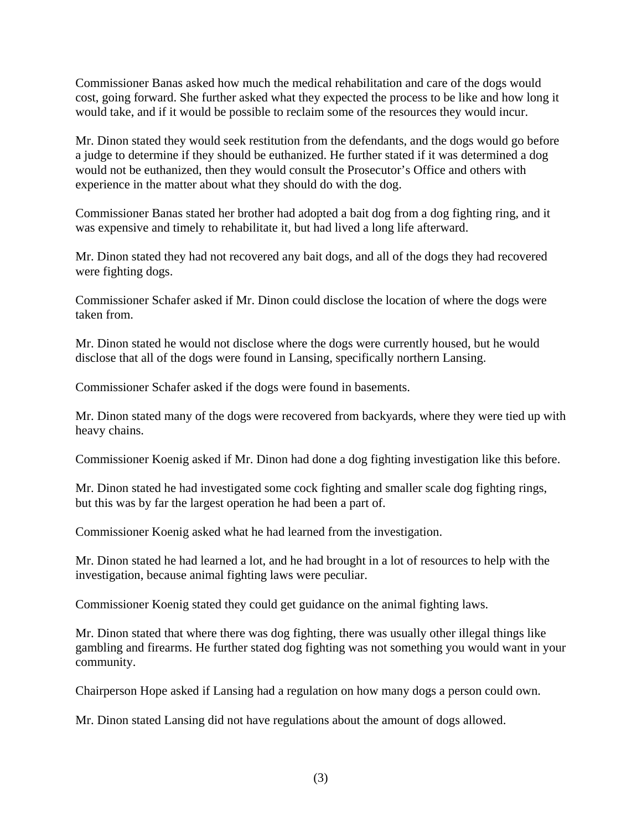Commissioner Banas asked how much the medical rehabilitation and care of the dogs would cost, going forward. She further asked what they expected the process to be like and how long it would take, and if it would be possible to reclaim some of the resources they would incur.

Mr. Dinon stated they would seek restitution from the defendants, and the dogs would go before a judge to determine if they should be euthanized. He further stated if it was determined a dog would not be euthanized, then they would consult the Prosecutor's Office and others with experience in the matter about what they should do with the dog.

Commissioner Banas stated her brother had adopted a bait dog from a dog fighting ring, and it was expensive and timely to rehabilitate it, but had lived a long life afterward.

Mr. Dinon stated they had not recovered any bait dogs, and all of the dogs they had recovered were fighting dogs.

Commissioner Schafer asked if Mr. Dinon could disclose the location of where the dogs were taken from.

Mr. Dinon stated he would not disclose where the dogs were currently housed, but he would disclose that all of the dogs were found in Lansing, specifically northern Lansing.

Commissioner Schafer asked if the dogs were found in basements.

Mr. Dinon stated many of the dogs were recovered from backyards, where they were tied up with heavy chains.

Commissioner Koenig asked if Mr. Dinon had done a dog fighting investigation like this before.

Mr. Dinon stated he had investigated some cock fighting and smaller scale dog fighting rings, but this was by far the largest operation he had been a part of.

Commissioner Koenig asked what he had learned from the investigation.

Mr. Dinon stated he had learned a lot, and he had brought in a lot of resources to help with the investigation, because animal fighting laws were peculiar.

Commissioner Koenig stated they could get guidance on the animal fighting laws.

Mr. Dinon stated that where there was dog fighting, there was usually other illegal things like gambling and firearms. He further stated dog fighting was not something you would want in your community.

Chairperson Hope asked if Lansing had a regulation on how many dogs a person could own.

Mr. Dinon stated Lansing did not have regulations about the amount of dogs allowed.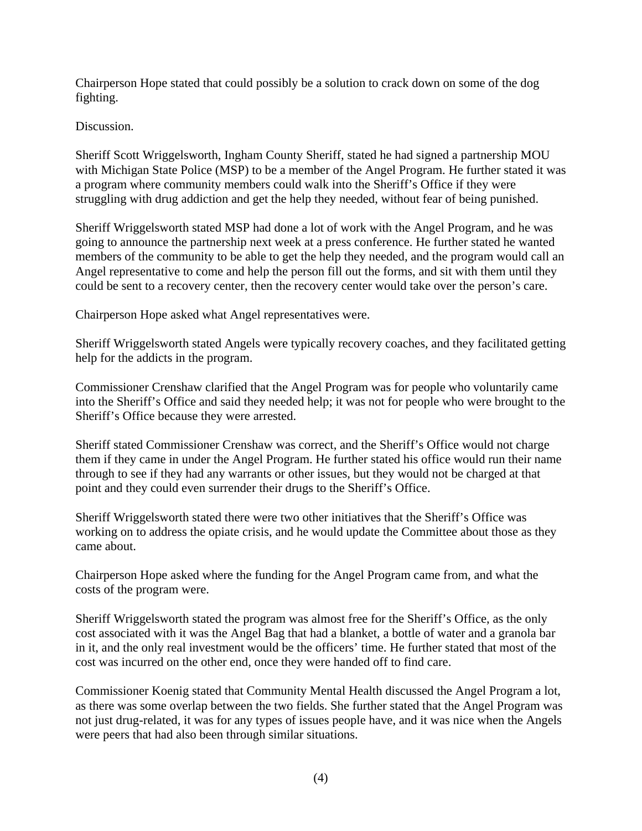Chairperson Hope stated that could possibly be a solution to crack down on some of the dog fighting.

Discussion.

Sheriff Scott Wriggelsworth, Ingham County Sheriff, stated he had signed a partnership MOU with Michigan State Police (MSP) to be a member of the Angel Program. He further stated it was a program where community members could walk into the Sheriff's Office if they were struggling with drug addiction and get the help they needed, without fear of being punished.

Sheriff Wriggelsworth stated MSP had done a lot of work with the Angel Program, and he was going to announce the partnership next week at a press conference. He further stated he wanted members of the community to be able to get the help they needed, and the program would call an Angel representative to come and help the person fill out the forms, and sit with them until they could be sent to a recovery center, then the recovery center would take over the person's care.

Chairperson Hope asked what Angel representatives were.

Sheriff Wriggelsworth stated Angels were typically recovery coaches, and they facilitated getting help for the addicts in the program.

Commissioner Crenshaw clarified that the Angel Program was for people who voluntarily came into the Sheriff's Office and said they needed help; it was not for people who were brought to the Sheriff's Office because they were arrested.

Sheriff stated Commissioner Crenshaw was correct, and the Sheriff's Office would not charge them if they came in under the Angel Program. He further stated his office would run their name through to see if they had any warrants or other issues, but they would not be charged at that point and they could even surrender their drugs to the Sheriff's Office.

Sheriff Wriggelsworth stated there were two other initiatives that the Sheriff's Office was working on to address the opiate crisis, and he would update the Committee about those as they came about.

Chairperson Hope asked where the funding for the Angel Program came from, and what the costs of the program were.

Sheriff Wriggelsworth stated the program was almost free for the Sheriff's Office, as the only cost associated with it was the Angel Bag that had a blanket, a bottle of water and a granola bar in it, and the only real investment would be the officers' time. He further stated that most of the cost was incurred on the other end, once they were handed off to find care.

Commissioner Koenig stated that Community Mental Health discussed the Angel Program a lot, as there was some overlap between the two fields. She further stated that the Angel Program was not just drug-related, it was for any types of issues people have, and it was nice when the Angels were peers that had also been through similar situations.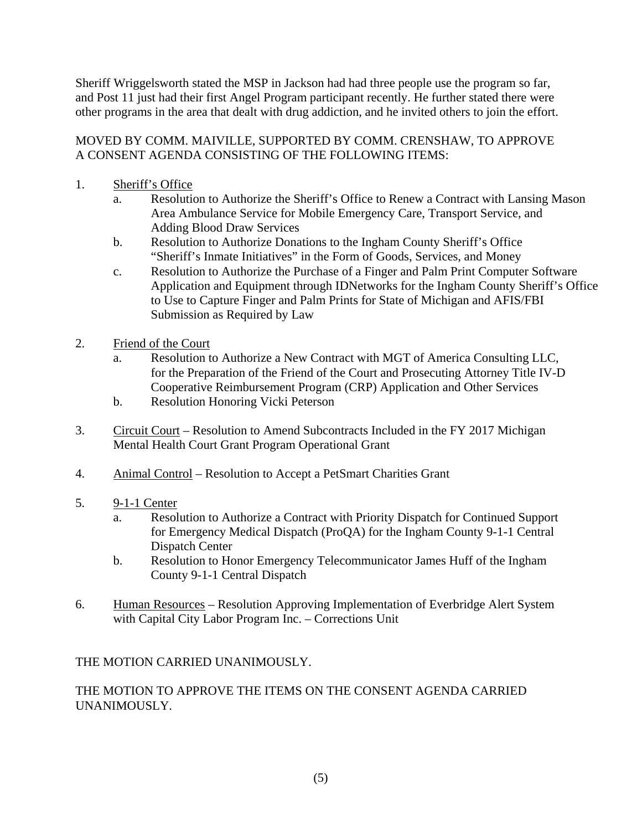Sheriff Wriggelsworth stated the MSP in Jackson had had three people use the program so far, and Post 11 just had their first Angel Program participant recently. He further stated there were other programs in the area that dealt with drug addiction, and he invited others to join the effort.

# MOVED BY COMM. MAIVILLE, SUPPORTED BY COMM. CRENSHAW, TO APPROVE A CONSENT AGENDA CONSISTING OF THE FOLLOWING ITEMS:

- 1. Sheriff's Office
	- a. Resolution to Authorize the Sheriff's Office to Renew a Contract with Lansing Mason Area Ambulance Service for Mobile Emergency Care, Transport Service, and Adding Blood Draw Services
	- b. Resolution to Authorize Donations to the Ingham County Sheriff's Office "Sheriff's Inmate Initiatives" in the Form of Goods, Services, and Money
	- c. Resolution to Authorize the Purchase of a Finger and Palm Print Computer Software Application and Equipment through IDNetworks for the Ingham County Sheriff's Office to Use to Capture Finger and Palm Prints for State of Michigan and AFIS/FBI Submission as Required by Law
- 2. Friend of the Court
	- a. Resolution to Authorize a New Contract with MGT of America Consulting LLC, for the Preparation of the Friend of the Court and Prosecuting Attorney Title IV-D Cooperative Reimbursement Program (CRP) Application and Other Services
	- b. Resolution Honoring Vicki Peterson
- 3. Circuit Court Resolution to Amend Subcontracts Included in the FY 2017 Michigan Mental Health Court Grant Program Operational Grant
- 4. Animal Control Resolution to Accept a PetSmart Charities Grant
- 5. 9-1-1 Center
	- a. Resolution to Authorize a Contract with Priority Dispatch for Continued Support for Emergency Medical Dispatch (ProQA) for the Ingham County 9-1-1 Central Dispatch Center
	- b. Resolution to Honor Emergency Telecommunicator James Huff of the Ingham County 9-1-1 Central Dispatch
- 6. Human Resources Resolution Approving Implementation of Everbridge Alert System with Capital City Labor Program Inc. – Corrections Unit

## THE MOTION CARRIED UNANIMOUSLY.

# THE MOTION TO APPROVE THE ITEMS ON THE CONSENT AGENDA CARRIED UNANIMOUSLY.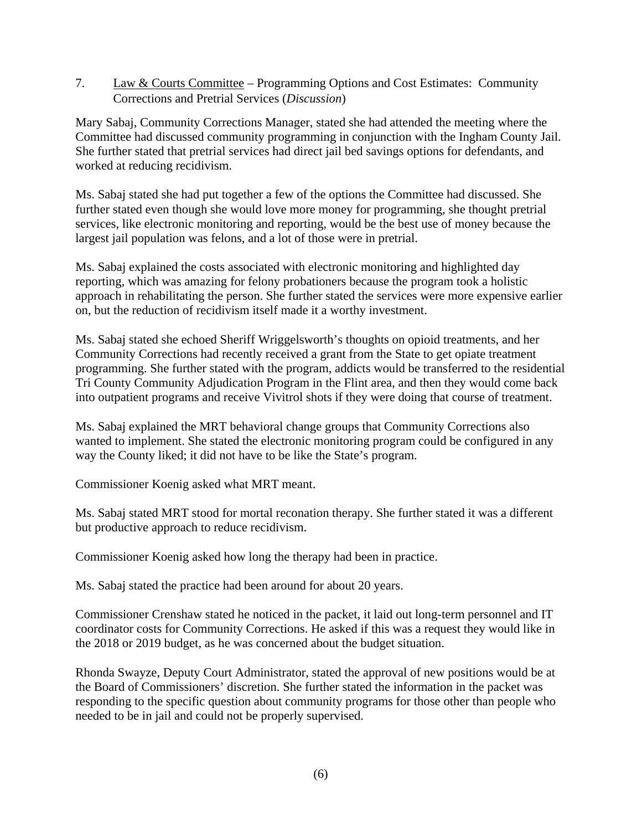7. Law & Courts Committee – Programming Options and Cost Estimates: Community Corrections and Pretrial Services (*Discussion*)

Mary Sabaj, Community Corrections Manager, stated she had attended the meeting where the Committee had discussed community programming in conjunction with the Ingham County Jail. She further stated that pretrial services had direct jail bed savings options for defendants, and worked at reducing recidivism.

Ms. Sabaj stated she had put together a few of the options the Committee had discussed. She further stated even though she would love more money for programming, she thought pretrial services, like electronic monitoring and reporting, would be the best use of money because the largest jail population was felons, and a lot of those were in pretrial.

Ms. Sabaj explained the costs associated with electronic monitoring and highlighted day reporting, which was amazing for felony probationers because the program took a holistic approach in rehabilitating the person. She further stated the services were more expensive earlier on, but the reduction of recidivism itself made it a worthy investment.

Ms. Sabaj stated she echoed Sheriff Wriggelsworth's thoughts on opioid treatments, and her Community Corrections had recently received a grant from the State to get opiate treatment programming. She further stated with the program, addicts would be transferred to the residential Tri County Community Adjudication Program in the Flint area, and then they would come back into outpatient programs and receive Vivitrol shots if they were doing that course of treatment.

Ms. Sabaj explained the MRT behavioral change groups that Community Corrections also wanted to implement. She stated the electronic monitoring program could be configured in any way the County liked; it did not have to be like the State's program.

Commissioner Koenig asked what MRT meant.

Ms. Sabaj stated MRT stood for mortal reconation therapy. She further stated it was a different but productive approach to reduce recidivism.

Commissioner Koenig asked how long the therapy had been in practice.

Ms. Sabaj stated the practice had been around for about 20 years.

Commissioner Crenshaw stated he noticed in the packet, it laid out long-term personnel and IT coordinator costs for Community Corrections. He asked if this was a request they would like in the 2018 or 2019 budget, as he was concerned about the budget situation.

Rhonda Swayze, Deputy Court Administrator, stated the approval of new positions would be at the Board of Commissioners' discretion. She further stated the information in the packet was responding to the specific question about community programs for those other than people who needed to be in jail and could not be properly supervised.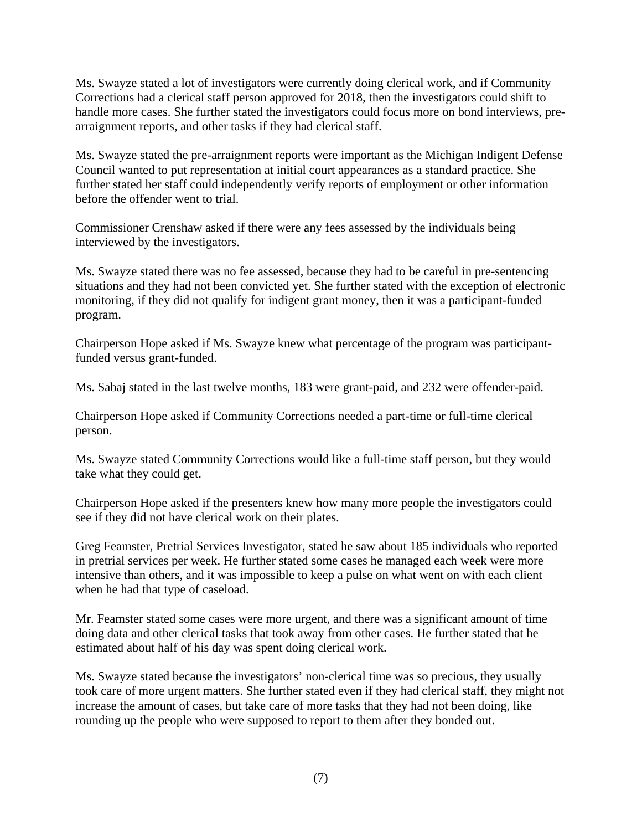Ms. Swayze stated a lot of investigators were currently doing clerical work, and if Community Corrections had a clerical staff person approved for 2018, then the investigators could shift to handle more cases. She further stated the investigators could focus more on bond interviews, prearraignment reports, and other tasks if they had clerical staff.

Ms. Swayze stated the pre-arraignment reports were important as the Michigan Indigent Defense Council wanted to put representation at initial court appearances as a standard practice. She further stated her staff could independently verify reports of employment or other information before the offender went to trial.

Commissioner Crenshaw asked if there were any fees assessed by the individuals being interviewed by the investigators.

Ms. Swayze stated there was no fee assessed, because they had to be careful in pre-sentencing situations and they had not been convicted yet. She further stated with the exception of electronic monitoring, if they did not qualify for indigent grant money, then it was a participant-funded program.

Chairperson Hope asked if Ms. Swayze knew what percentage of the program was participantfunded versus grant-funded.

Ms. Sabaj stated in the last twelve months, 183 were grant-paid, and 232 were offender-paid.

Chairperson Hope asked if Community Corrections needed a part-time or full-time clerical person.

Ms. Swayze stated Community Corrections would like a full-time staff person, but they would take what they could get.

Chairperson Hope asked if the presenters knew how many more people the investigators could see if they did not have clerical work on their plates.

Greg Feamster, Pretrial Services Investigator, stated he saw about 185 individuals who reported in pretrial services per week. He further stated some cases he managed each week were more intensive than others, and it was impossible to keep a pulse on what went on with each client when he had that type of caseload.

Mr. Feamster stated some cases were more urgent, and there was a significant amount of time doing data and other clerical tasks that took away from other cases. He further stated that he estimated about half of his day was spent doing clerical work.

Ms. Swayze stated because the investigators' non-clerical time was so precious, they usually took care of more urgent matters. She further stated even if they had clerical staff, they might not increase the amount of cases, but take care of more tasks that they had not been doing, like rounding up the people who were supposed to report to them after they bonded out.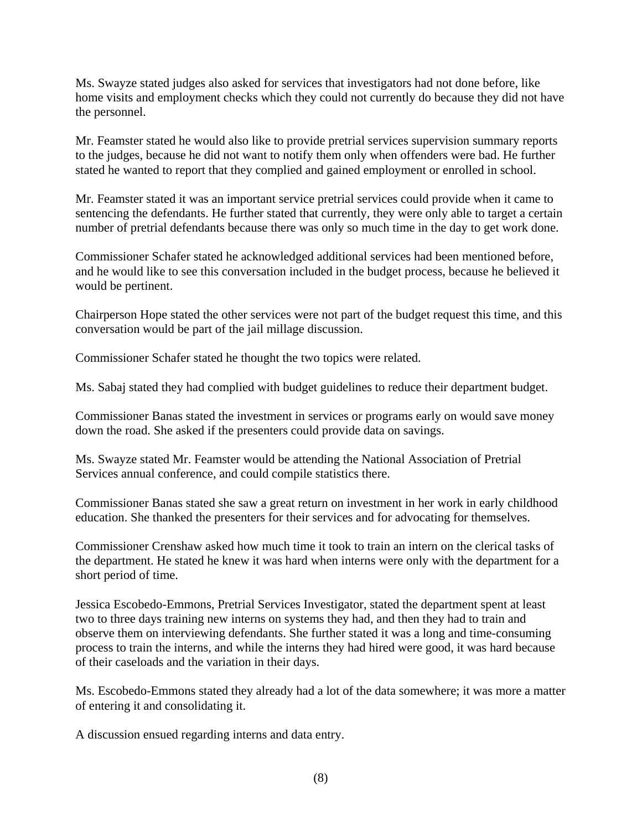Ms. Swayze stated judges also asked for services that investigators had not done before, like home visits and employment checks which they could not currently do because they did not have the personnel.

Mr. Feamster stated he would also like to provide pretrial services supervision summary reports to the judges, because he did not want to notify them only when offenders were bad. He further stated he wanted to report that they complied and gained employment or enrolled in school.

Mr. Feamster stated it was an important service pretrial services could provide when it came to sentencing the defendants. He further stated that currently, they were only able to target a certain number of pretrial defendants because there was only so much time in the day to get work done.

Commissioner Schafer stated he acknowledged additional services had been mentioned before, and he would like to see this conversation included in the budget process, because he believed it would be pertinent.

Chairperson Hope stated the other services were not part of the budget request this time, and this conversation would be part of the jail millage discussion.

Commissioner Schafer stated he thought the two topics were related.

Ms. Sabaj stated they had complied with budget guidelines to reduce their department budget.

Commissioner Banas stated the investment in services or programs early on would save money down the road. She asked if the presenters could provide data on savings.

Ms. Swayze stated Mr. Feamster would be attending the National Association of Pretrial Services annual conference, and could compile statistics there.

Commissioner Banas stated she saw a great return on investment in her work in early childhood education. She thanked the presenters for their services and for advocating for themselves.

Commissioner Crenshaw asked how much time it took to train an intern on the clerical tasks of the department. He stated he knew it was hard when interns were only with the department for a short period of time.

Jessica Escobedo-Emmons, Pretrial Services Investigator, stated the department spent at least two to three days training new interns on systems they had, and then they had to train and observe them on interviewing defendants. She further stated it was a long and time-consuming process to train the interns, and while the interns they had hired were good, it was hard because of their caseloads and the variation in their days.

Ms. Escobedo-Emmons stated they already had a lot of the data somewhere; it was more a matter of entering it and consolidating it.

A discussion ensued regarding interns and data entry.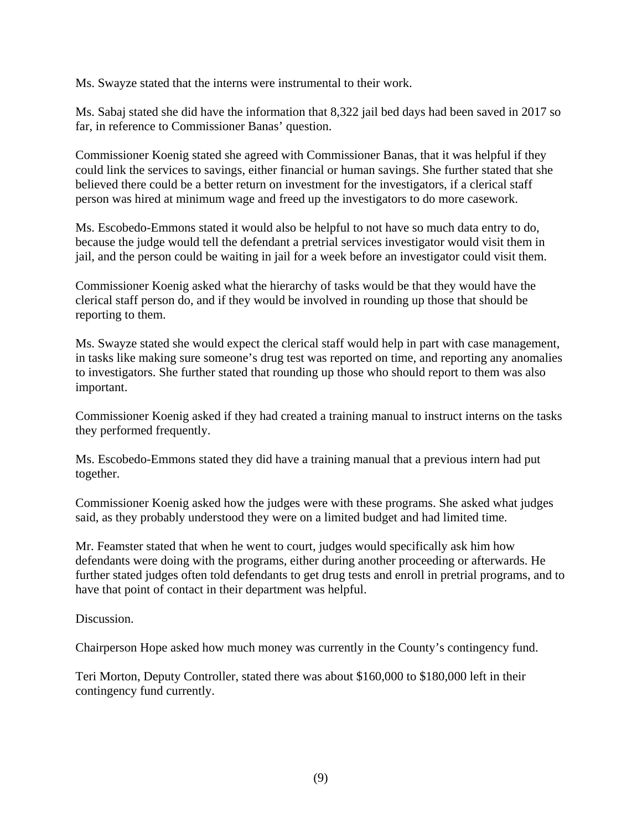Ms. Swayze stated that the interns were instrumental to their work.

Ms. Sabaj stated she did have the information that 8,322 jail bed days had been saved in 2017 so far, in reference to Commissioner Banas' question.

Commissioner Koenig stated she agreed with Commissioner Banas, that it was helpful if they could link the services to savings, either financial or human savings. She further stated that she believed there could be a better return on investment for the investigators, if a clerical staff person was hired at minimum wage and freed up the investigators to do more casework.

Ms. Escobedo-Emmons stated it would also be helpful to not have so much data entry to do, because the judge would tell the defendant a pretrial services investigator would visit them in jail, and the person could be waiting in jail for a week before an investigator could visit them.

Commissioner Koenig asked what the hierarchy of tasks would be that they would have the clerical staff person do, and if they would be involved in rounding up those that should be reporting to them.

Ms. Swayze stated she would expect the clerical staff would help in part with case management, in tasks like making sure someone's drug test was reported on time, and reporting any anomalies to investigators. She further stated that rounding up those who should report to them was also important.

Commissioner Koenig asked if they had created a training manual to instruct interns on the tasks they performed frequently.

Ms. Escobedo-Emmons stated they did have a training manual that a previous intern had put together.

Commissioner Koenig asked how the judges were with these programs. She asked what judges said, as they probably understood they were on a limited budget and had limited time.

Mr. Feamster stated that when he went to court, judges would specifically ask him how defendants were doing with the programs, either during another proceeding or afterwards. He further stated judges often told defendants to get drug tests and enroll in pretrial programs, and to have that point of contact in their department was helpful.

Discussion.

Chairperson Hope asked how much money was currently in the County's contingency fund.

Teri Morton, Deputy Controller, stated there was about \$160,000 to \$180,000 left in their contingency fund currently.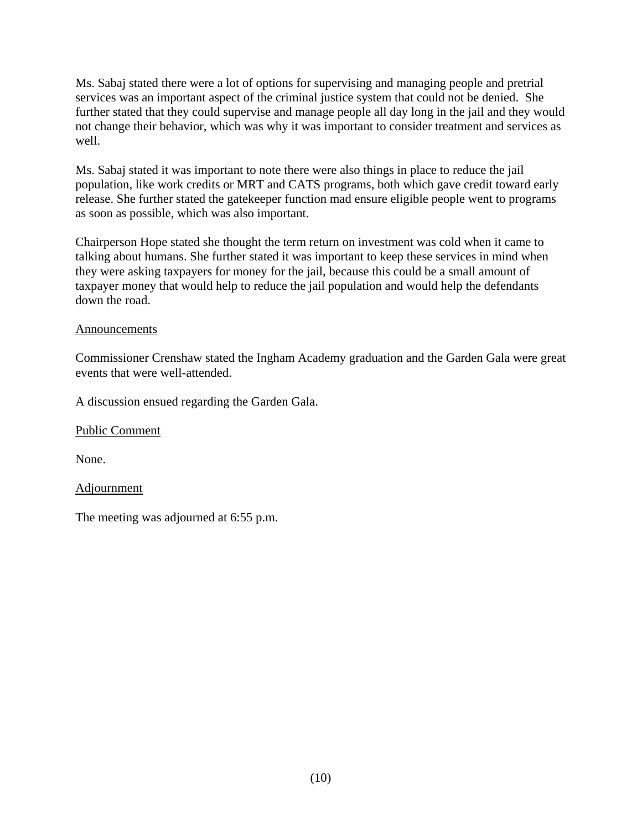Ms. Sabaj stated there were a lot of options for supervising and managing people and pretrial services was an important aspect of the criminal justice system that could not be denied. She further stated that they could supervise and manage people all day long in the jail and they would not change their behavior, which was why it was important to consider treatment and services as well.

Ms. Sabaj stated it was important to note there were also things in place to reduce the jail population, like work credits or MRT and CATS programs, both which gave credit toward early release. She further stated the gatekeeper function mad ensure eligible people went to programs as soon as possible, which was also important.

Chairperson Hope stated she thought the term return on investment was cold when it came to talking about humans. She further stated it was important to keep these services in mind when they were asking taxpayers for money for the jail, because this could be a small amount of taxpayer money that would help to reduce the jail population and would help the defendants down the road.

## Announcements

Commissioner Crenshaw stated the Ingham Academy graduation and the Garden Gala were great events that were well-attended.

A discussion ensued regarding the Garden Gala.

Public Comment

None.

**Adjournment** 

The meeting was adjourned at 6:55 p.m.